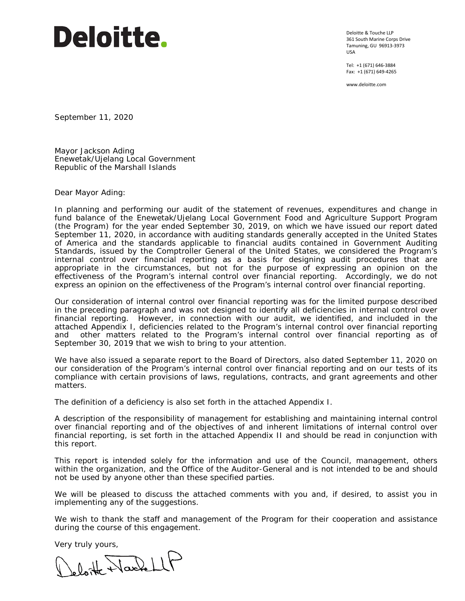# **Deloitte.**

Deloitte & Touche LLP 361 South Marine Corps Drive Tamuning, GU 96913-3973 USA

Tel: +1 (671) 646-3884 Fax: +1 (671) 649-4265

www.deloitte.com

September 11, 2020

Mayor Jackson Ading Enewetak/Ujelang Local Government Republic of the Marshall Islands

Dear Mayor Ading:

In planning and performing our audit of the statement of revenues, expenditures and change in fund balance of the Enewetak/Ujelang Local Government Food and Agriculture Support Program (the Program) for the year ended September 30, 2019, on which we have issued our report dated September 11, 2020, in accordance with auditing standards generally accepted in the United States of America and the standards applicable to financial audits contained in *Government Auditing Standards,* issued by the Comptroller General of the United States, we considered the Program's internal control over financial reporting as a basis for designing audit procedures that are appropriate in the circumstances, but not for the purpose of expressing an opinion on the effectiveness of the Program's internal control over financial reporting. Accordingly, we do not express an opinion on the effectiveness of the Program's internal control over financial reporting.

Our consideration of internal control over financial reporting was for the limited purpose described in the preceding paragraph and was not designed to identify all deficiencies in internal control over financial reporting. However, in connection with our audit, we identified, and included in the attached Appendix I, deficiencies related to the Program's internal control over financial reporting and other matters related to the Program's internal control over financial reporting as of September 30, 2019 that we wish to bring to your attention.

We have also issued a separate report to the Board of Directors, also dated September 11, 2020 on our consideration of the Program's internal control over financial reporting and on our tests of its compliance with certain provisions of laws, regulations, contracts, and grant agreements and other matters.

The definition of a deficiency is also set forth in the attached Appendix I.

A description of the responsibility of management for establishing and maintaining internal control over financial reporting and of the objectives of and inherent limitations of internal control over financial reporting, is set forth in the attached Appendix II and should be read in conjunction with this report.

This report is intended solely for the information and use of the Council, management, others within the organization, and the Office of the Auditor-General and is not intended to be and should not be used by anyone other than these specified parties.

We will be pleased to discuss the attached comments with you and, if desired, to assist you in implementing any of the suggestions.

We wish to thank the staff and management of the Program for their cooperation and assistance during the course of this engagement.

Very truly yours,<br>( ) blont Narch LLP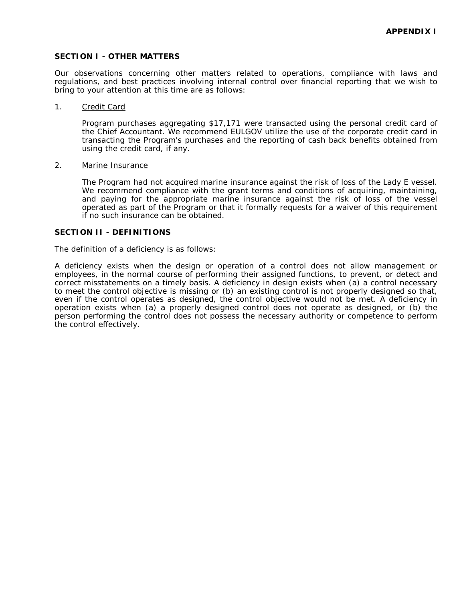## **SECTION I - OTHER MATTERS**

Our observations concerning other matters related to operations, compliance with laws and regulations, and best practices involving internal control over financial reporting that we wish to bring to your attention at this time are as follows:

#### 1. Credit Card

Program purchases aggregating \$17,171 were transacted using the personal credit card of the Chief Accountant. We recommend EULGOV utilize the use of the corporate credit card in transacting the Program's purchases and the reporting of cash back benefits obtained from using the credit card, if any.

#### 2. Marine Insurance

The Program had not acquired marine insurance against the risk of loss of the Lady E vessel. We recommend compliance with the grant terms and conditions of acquiring, maintaining, and paying for the appropriate marine insurance against the risk of loss of the vessel operated as part of the Program or that it formally requests for a waiver of this requirement if no such insurance can be obtained.

# **SECTION II - DEFINITIONS**

The definition of a deficiency is as follows:

A *deficiency* exists when the design or operation of a control does not allow management or employees, in the normal course of performing their assigned functions, to prevent, or detect and correct misstatements on a timely basis. A deficiency in design exists when (a) a control necessary to meet the control objective is missing or (b) an existing control is not properly designed so that, even if the control operates as designed, the control objective would not be met. A deficiency in operation exists when (a) a properly designed control does not operate as designed, or (b) the person performing the control does not possess the necessary authority or competence to perform the control effectively.